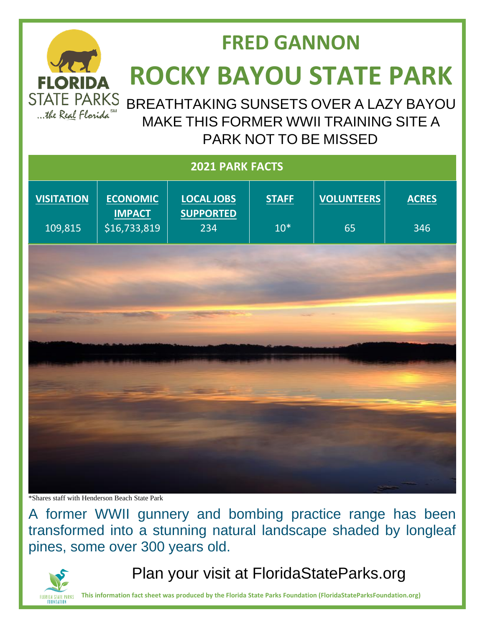

## **FRED GANNON ROCKY BAYOU STATE PARK**

BREATHTAKING SUNSETS OVER A LAZY BAYOU MAKE THIS FORMER WWII TRAINING SITE A PARK NOT TO BE MISSED

| 2021 PARK FACTS              |                                                  |                                              |                       |                         |                     |
|------------------------------|--------------------------------------------------|----------------------------------------------|-----------------------|-------------------------|---------------------|
| <b>VISITATION</b><br>109,815 | <b>ECONOMIC</b><br><b>IMPACT</b><br>\$16,733,819 | <b>LOCAL JOBS</b><br><b>SUPPORTED</b><br>234 | <b>STAFF</b><br>$10*$ | <b>VOLUNTEERS</b><br>65 | <b>ACRES</b><br>346 |
|                              |                                                  |                                              |                       |                         |                     |
|                              |                                                  |                                              |                       |                         |                     |
|                              |                                                  |                                              |                       |                         |                     |
|                              |                                                  |                                              |                       |                         |                     |
|                              |                                                  |                                              |                       |                         |                     |
|                              |                                                  |                                              |                       |                         |                     |
|                              |                                                  |                                              |                       |                         |                     |

\*Shares staff with Henderson Beach State Park

A former WWII gunnery and bombing practice range has been transformed into a stunning natural landscape shaded by longleaf pines, some over 300 years old.



Plan your visit at FloridaStateParks.org

**This information fact sheet was produced by the Florida State Parks Foundation (FloridaStateParksFoundation.org)**